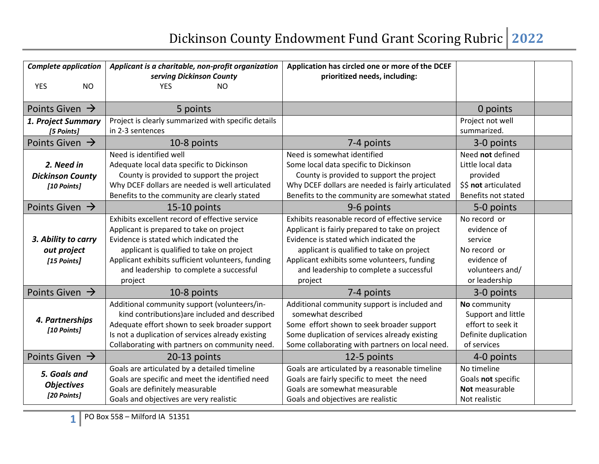| <b>Complete application</b><br><b>YES</b><br><b>NO</b> | Applicant is a charitable, non-profit organization<br>serving Dickinson County<br><b>YES</b><br><b>NO</b>                                                                                                                                                                                    | Application has circled one or more of the DCEF<br>prioritized needs, including:                                                                                                                                                                                                               |                                                                                                           |  |
|--------------------------------------------------------|----------------------------------------------------------------------------------------------------------------------------------------------------------------------------------------------------------------------------------------------------------------------------------------------|------------------------------------------------------------------------------------------------------------------------------------------------------------------------------------------------------------------------------------------------------------------------------------------------|-----------------------------------------------------------------------------------------------------------|--|
| Points Given $\rightarrow$                             | 5 points                                                                                                                                                                                                                                                                                     |                                                                                                                                                                                                                                                                                                | 0 points                                                                                                  |  |
| 1. Project Summary<br>[5 Points]                       | Project is clearly summarized with specific details<br>in 2-3 sentences                                                                                                                                                                                                                      |                                                                                                                                                                                                                                                                                                | Project not well<br>summarized.                                                                           |  |
| Points Given $\rightarrow$                             | 10-8 points                                                                                                                                                                                                                                                                                  | 7-4 points                                                                                                                                                                                                                                                                                     | 3-0 points                                                                                                |  |
| 2. Need in<br><b>Dickinson County</b><br>[10 Points]   | Need is identified well<br>Adequate local data specific to Dickinson<br>County is provided to support the project<br>Why DCEF dollars are needed is well articulated<br>Benefits to the community are clearly stated                                                                         | Need is somewhat identified<br>Some local data specific to Dickinson<br>County is provided to support the project<br>Why DCEF dollars are needed is fairly articulated<br>Benefits to the community are somewhat stated                                                                        | Need not defined<br>Little local data<br>provided<br>\$\$ not articulated<br>Benefits not stated          |  |
| Points Given $\rightarrow$                             | 15-10 points                                                                                                                                                                                                                                                                                 | 9-6 points                                                                                                                                                                                                                                                                                     | 5-0 points                                                                                                |  |
| 3. Ability to carry<br>out project<br>[15 Points]      | Exhibits excellent record of effective service<br>Applicant is prepared to take on project<br>Evidence is stated which indicated the<br>applicant is qualified to take on project<br>Applicant exhibits sufficient volunteers, funding<br>and leadership to complete a successful<br>project | Exhibits reasonable record of effective service<br>Applicant is fairly prepared to take on project<br>Evidence is stated which indicated the<br>applicant is qualified to take on project<br>Applicant exhibits some volunteers, funding<br>and leadership to complete a successful<br>project | No record or<br>evidence of<br>service<br>No record or<br>evidence of<br>volunteers and/<br>or leadership |  |
| Points Given $\rightarrow$                             | 10-8 points                                                                                                                                                                                                                                                                                  | 7-4 points                                                                                                                                                                                                                                                                                     | 3-0 points                                                                                                |  |
| 4. Partnerships<br>[10 Points]                         | Additional community support (volunteers/in-<br>kind contributions) are included and described<br>Adequate effort shown to seek broader support<br>Is not a duplication of services already existing<br>Collaborating with partners on community need.                                       | Additional community support is included and<br>somewhat described<br>Some effort shown to seek broader support<br>Some duplication of services already existing<br>Some collaborating with partners on local need.                                                                            | No community<br>Support and little<br>effort to seek it<br>Definite duplication<br>of services            |  |
| Points Given $\rightarrow$                             | 20-13 points                                                                                                                                                                                                                                                                                 | 12-5 points                                                                                                                                                                                                                                                                                    | 4-0 points                                                                                                |  |
| 5. Goals and<br><b>Objectives</b><br>[20 Points]       | Goals are articulated by a detailed timeline<br>Goals are specific and meet the identified need<br>Goals are definitely measurable<br>Goals and objectives are very realistic                                                                                                                | Goals are articulated by a reasonable timeline<br>Goals are fairly specific to meet the need<br>Goals are somewhat measurable<br>Goals and objectives are realistic                                                                                                                            | No timeline<br>Goals not specific<br>Not measurable<br>Not realistic                                      |  |